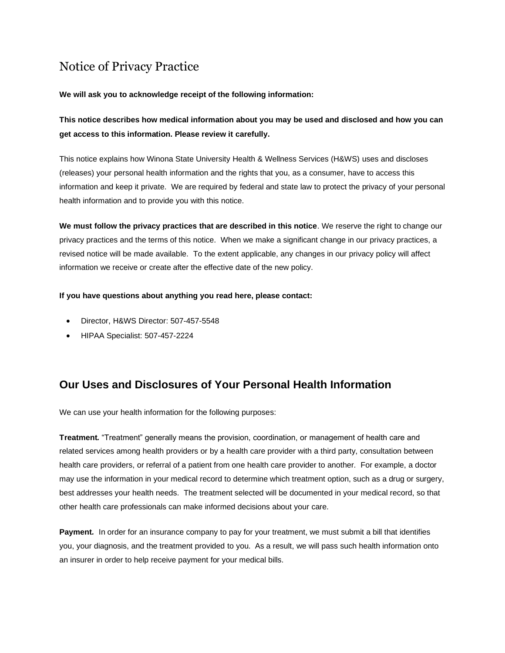# Notice of Privacy Practice

### **We will ask you to acknowledge receipt of the following information:**

**This notice describes how medical information about you may be used and disclosed and how you can get access to this information. Please review it carefully.**

This notice explains how Winona State University Health & Wellness Services (H&WS) uses and discloses (releases) your personal health information and the rights that you, as a consumer, have to access this information and keep it private. We are required by federal and state law to protect the privacy of your personal health information and to provide you with this notice.

**We must follow the privacy practices that are described in this notice**. We reserve the right to change our privacy practices and the terms of this notice. When we make a significant change in our privacy practices, a revised notice will be made available. To the extent applicable, any changes in our privacy policy will affect information we receive or create after the effective date of the new policy.

### **If you have questions about anything you read here, please contact:**

- Director, H&WS Director: 507-457-5548
- HIPAA Specialist: 507-457-2224

### **Our Uses and Disclosures of Your Personal Health Information**

We can use your health information for the following purposes:

**Treatment***.* "Treatment" generally means the provision, coordination, or management of health care and related services among health providers or by a health care provider with a third party, consultation between health care providers, or referral of a patient from one health care provider to another*.* For example, a doctor may use the information in your medical record to determine which treatment option, such as a drug or surgery, best addresses your health needs. The treatment selected will be documented in your medical record, so that other health care professionals can make informed decisions about your care.

**Payment***.* In order for an insurance company to pay for your treatment, we must submit a bill that identifies you, your diagnosis, and the treatment provided to you. As a result, we will pass such health information onto an insurer in order to help receive payment for your medical bills.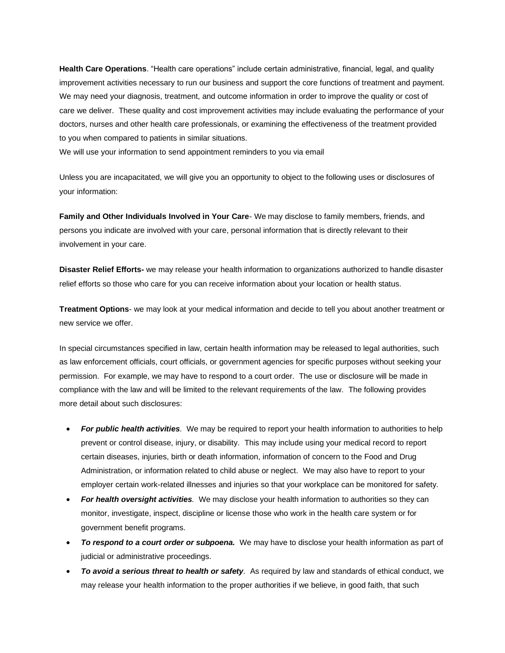**Health Care Operations**. "Health care operations" include certain administrative, financial, legal, and quality improvement activities necessary to run our business and support the core functions of treatment and payment. We may need your diagnosis, treatment, and outcome information in order to improve the quality or cost of care we deliver. These quality and cost improvement activities may include evaluating the performance of your doctors, nurses and other health care professionals, or examining the effectiveness of the treatment provided to you when compared to patients in similar situations.

We will use your information to send appointment reminders to you via email

Unless you are incapacitated, we will give you an opportunity to object to the following uses or disclosures of your information:

**Family and Other Individuals Involved in Your Care**- We may disclose to family members, friends, and persons you indicate are involved with your care, personal information that is directly relevant to their involvement in your care.

**Disaster Relief Efforts-** we may release your health information to organizations authorized to handle disaster relief efforts so those who care for you can receive information about your location or health status.

**Treatment Options**- we may look at your medical information and decide to tell you about another treatment or new service we offer.

In special circumstances specified in law, certain health information may be released to legal authorities, such as law enforcement officials, court officials, or government agencies for specific purposes without seeking your permission. For example, we may have to respond to a court order. The use or disclosure will be made in compliance with the law and will be limited to the relevant requirements of the law. The following provides more detail about such disclosures:

- *For public health activities.* We may be required to report your health information to authorities to help prevent or control disease, injury, or disability. This may include using your medical record to report certain diseases, injuries, birth or death information, information of concern to the Food and Drug Administration, or information related to child abuse or neglect. We may also have to report to your employer certain work-related illnesses and injuries so that your workplace can be monitored for safety.
- *For health oversight activities.* We may disclose your health information to authorities so they can monitor, investigate, inspect, discipline or license those who work in the health care system or for government benefit programs.
- *To respond to a court order or subpoena.* We may have to disclose your health information as part of judicial or administrative proceedings.
- *To avoid a serious threat to health or safety.* As required by law and standards of ethical conduct, we may release your health information to the proper authorities if we believe, in good faith, that such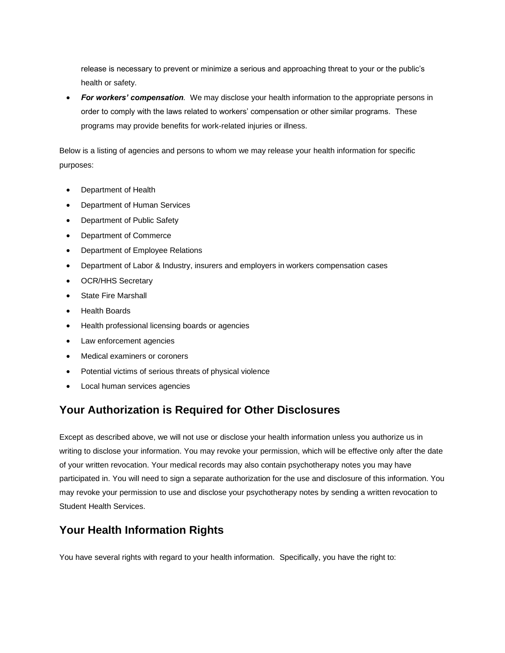release is necessary to prevent or minimize a serious and approaching threat to your or the public's health or safety.

• *For workers' compensation.* We may disclose your health information to the appropriate persons in order to comply with the laws related to workers' compensation or other similar programs. These programs may provide benefits for work-related injuries or illness.

Below is a listing of agencies and persons to whom we may release your health information for specific purposes:

- Department of Health
- Department of Human Services
- Department of Public Safety
- Department of Commerce
- Department of Employee Relations
- Department of Labor & Industry, insurers and employers in workers compensation cases
- OCR/HHS Secretary
- **State Fire Marshall**
- Health Boards
- Health professional licensing boards or agencies
- Law enforcement agencies
- Medical examiners or coroners
- Potential victims of serious threats of physical violence
- Local human services agencies

### **Your Authorization is Required for Other Disclosures**

Except as described above, we will not use or disclose your health information unless you authorize us in writing to disclose your information. You may revoke your permission, which will be effective only after the date of your written revocation. Your medical records may also contain psychotherapy notes you may have participated in. You will need to sign a separate authorization for the use and disclosure of this information. You may revoke your permission to use and disclose your psychotherapy notes by sending a written revocation to Student Health Services.

### **Your Health Information Rights**

You have several rights with regard to your health information. Specifically, you have the right to: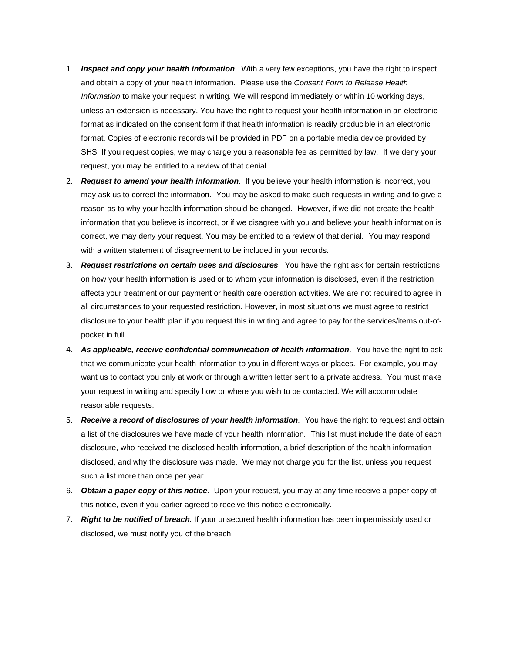- 1. *Inspect and copy your health information.* With a very few exceptions, you have the right to inspect and obtain a copy of your health information. Please use the *Consent Form to Release Health Information* to make your request in writing*.* We will respond immediately or within 10 working days, unless an extension is necessary. You have the right to request your health information in an electronic format as indicated on the consent form if that health information is readily producible in an electronic format. Copies of electronic records will be provided in PDF on a portable media device provided by SHS. If you request copies, we may charge you a reasonable fee as permitted by law. If we deny your request, you may be entitled to a review of that denial.
- 2. *Request to amend your health information.* If you believe your health information is incorrect, you may ask us to correct the information. You may be asked to make such requests in writing and to give a reason as to why your health information should be changed. However, if we did not create the health information that you believe is incorrect, or if we disagree with you and believe your health information is correct, we may deny your request. You may be entitled to a review of that denial. You may respond with a written statement of disagreement to be included in your records.
- 3. *Request restrictions on certain uses and disclosures.* You have the right ask for certain restrictions on how your health information is used or to whom your information is disclosed, even if the restriction affects your treatment or our payment or health care operation activities. We are not required to agree in all circumstances to your requested restriction. However, in most situations we must agree to restrict disclosure to your health plan if you request this in writing and agree to pay for the services/items out-ofpocket in full.
- 4. *As applicable, receive confidential communication of health information.* You have the right to ask that we communicate your health information to you in different ways or places. For example, you may want us to contact you only at work or through a written letter sent to a private address. You must make your request in writing and specify how or where you wish to be contacted. We will accommodate reasonable requests.
- 5. *Receive a record of disclosures of your health information.* You have the right to request and obtain a list of the disclosures we have made of your health information. This list must include the date of each disclosure, who received the disclosed health information, a brief description of the health information disclosed, and why the disclosure was made. We may not charge you for the list, unless you request such a list more than once per year.
- 6. *Obtain a paper copy of this notice.* Upon your request, you may at any time receive a paper copy of this notice, even if you earlier agreed to receive this notice electronically.
- 7. *Right to be notified of breach.* If your unsecured health information has been impermissibly used or disclosed, we must notify you of the breach.